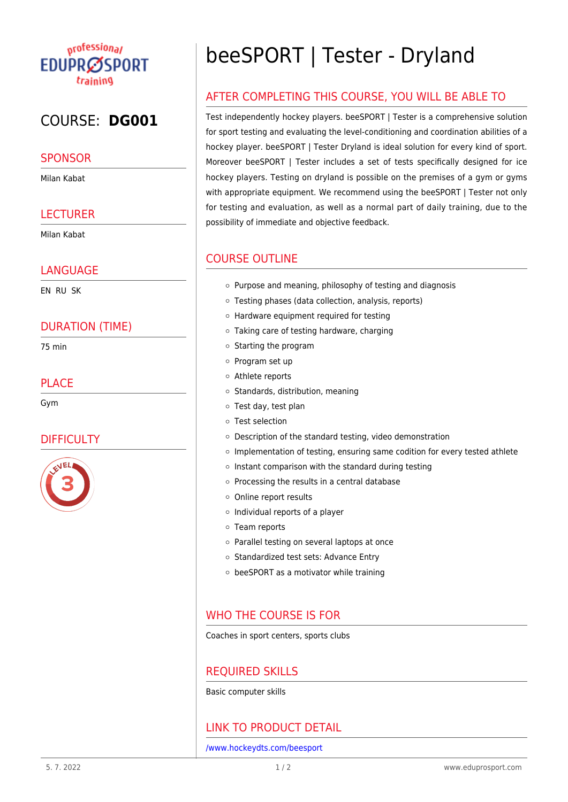## <sub>n</sub>rofession<sub>al</sub> **EDUPRØSPORT** training

# COURSE: **DG001**

### **SPONSOR**

Milan Kabat

### **LECTURER**

Milan Kabat

#### LANGUAGE

EN RU SK

### DURATION (TIME)

75 min

### PLAC<sub>E</sub>

Gym

## **DIFFICULTY**



# beeSPORT | Tester - Dryland

## AFTER COMPLETING THIS COURSE, YOU WILL BE ABLE TO

Test independently hockey players. beeSPORT | Tester is a comprehensive solution for sport testing and evaluating the level-conditioning and coordination abilities of a hockey player. beeSPORT | Tester Dryland is ideal solution for every kind of sport. Moreover beeSPORT | Tester includes a set of tests specifically designed for ice hockey players. Testing on dryland is possible on the premises of a gym or gyms with appropriate equipment. We recommend using the beeSPORT | Tester not only for testing and evaluation, as well as a normal part of daily training, due to the possibility of immediate and objective feedback.

## COURSE OUTLINE

- $\circ$  Purpose and meaning, philosophy of testing and diagnosis
- Testing phases (data collection, analysis, reports)
- Hardware equipment required for testing
- Taking care of testing hardware, charging
- $\circ$  Starting the program
- o Program set up
- Athlete reports
- o Standards, distribution, meaning
- Test day, test plan
- Test selection
- Description of the standard testing, video demonstration
- o Implementation of testing, ensuring same codition for every tested athlete
- $\circ$  Instant comparison with the standard during testing
- $\circ$  Processing the results in a central database
- o Online report results
- $\circ$  Individual reports of a player
- Team reports
- o Parallel testing on several laptops at once
- o Standardized test sets: Advance Entry
- beeSPORT as a motivator while training

### WHO THE COURSE IS FOR

Coaches in sport centers, sports clubs

## REQUIRED SKILLS

Basic computer skills

## LINK TO PRODUCT DETAIL

[/www.hockeydts.com/beesport](https://www.hockeydts.com/beesport)